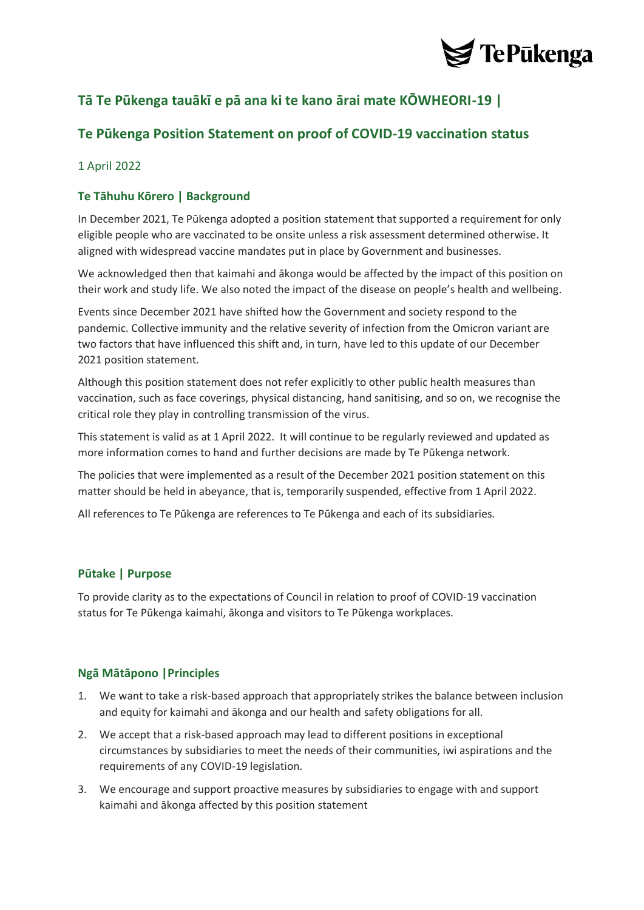

# **Tā Te Pūkenga tauākī e pā ana ki te kano ārai mate KŌWHEORI-19 |**

## **Te Pūkenga Position Statement on proof of COVID-19 vaccination status**

#### 1 April 2022

### **Te Tāhuhu Kōrero | Background**

In December 2021, Te Pūkenga adopted a position statement that supported a requirement for only eligible people who are vaccinated to be onsite unless a risk assessment determined otherwise. It aligned with widespread vaccine mandates put in place by Government and businesses.

We acknowledged then that kaimahi and ākonga would be affected by the impact of this position on their work and study life. We also noted the impact of the disease on people's health and wellbeing.

Events since December 2021 have shifted how the Government and society respond to the pandemic. Collective immunity and the relative severity of infection from the Omicron variant are two factors that have influenced this shift and, in turn, have led to this update of our December 2021 position statement.

Although this position statement does not refer explicitly to other public health measures than vaccination, such as face coverings, physical distancing, hand sanitising, and so on, we recognise the critical role they play in controlling transmission of the virus.

This statement is valid as at 1 April 2022. It will continue to be regularly reviewed and updated as more information comes to hand and further decisions are made by Te Pūkenga network.

The policies that were implemented as a result of the December 2021 position statement on this matter should be held in abeyance, that is, temporarily suspended, effective from 1 April 2022.

All references to Te Pūkenga are references to Te Pūkenga and each of its subsidiaries.

#### **Pūtake | Purpose**

To provide clarity as to the expectations of Council in relation to proof of COVID-19 vaccination status for Te Pūkenga kaimahi, ākonga and visitors to Te Pūkenga workplaces.

#### **Ngā Mātāpono |Principles**

- 1. We want to take a risk-based approach that appropriately strikes the balance between inclusion and equity for kaimahi and ākonga and our health and safety obligations for all.
- 2. We accept that a risk-based approach may lead to different positions in exceptional circumstances by subsidiaries to meet the needs of their communities, iwi aspirations and the requirements of any COVID-19 legislation.
- 3. We encourage and support proactive measures by subsidiaries to engage with and support kaimahi and ākonga affected by this position statement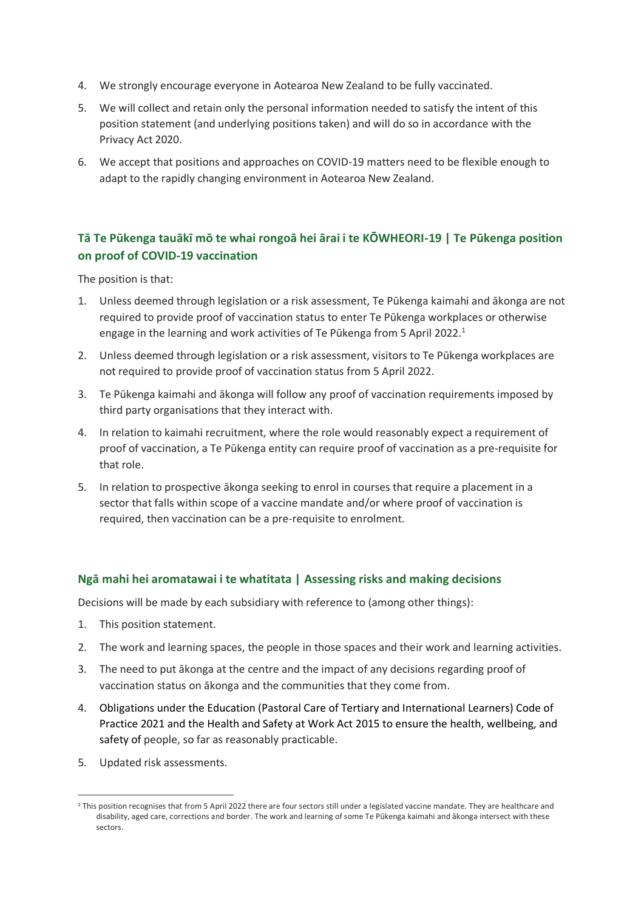- 4. We strongly encourage everyone in Aotearoa New Zealand to be fully vaccinated.
- 5. We will collect and retain only the personal information needed to satisfy the intent of this position statement (and underlying positions taken) and will do so in accordance with the Privacy Act 2020.
- 6. We accept that positions and approaches on COVID-19 matters need to be flexible enough to adapt to the rapidly changing environment in Aotearoa New Zealand.

### **Tā Te Pūkenga tauākī mō te whai rongoā hei ārai i te KŌWHEORI-19 | Te Pūkenga position on proof of COVID-19 vaccination**

The position is that:

- 1. Unless deemed through legislation or a risk assessment, Te Pūkenga kaimahi and ākonga are not required to provide proof of vaccination status to enter Te Pūkenga workplaces or otherwise engage in the learning and work activities of Te Pūkenga from 5 April 2022. 1
- 2. Unless deemed through legislation or a risk assessment, visitors to Te Pūkenga workplaces are not required to provide proof of vaccination status from 5 April 2022.
- 3. Te Pūkenga kaimahi and ākonga will follow any proof of vaccination requirements imposed by third party organisations that they interact with.
- 4. In relation to kaimahi recruitment, where the role would reasonably expect a requirement of proof of vaccination, a Te Pūkenga entity can require proof of vaccination as a pre-requisite for that role.
- 5. In relation to prospective ākonga seeking to enrol in courses that require a placement in a sector that falls within scope of a vaccine mandate and/or where proof of vaccination is required, then vaccination can be a pre-requisite to enrolment.

#### **Ngā mahi hei aromatawai i te whatitata | Assessing risks and making decisions**

Decisions will be made by each subsidiary with reference to (among other things):

- 1. This position statement.
- 2. The work and learning spaces, the people in those spaces and their work and learning activities.
- 3. The need to put ākonga at the centre and the impact of any decisions regarding proof of vaccination status on ākonga and the communities that they come from.
- 4. Obligations under the Education (Pastoral Care of Tertiary and International Learners) Code of Practice 2021 and the Health and Safety at Work Act 2015 to ensure the health, wellbeing, and safety of people, so far as reasonably practicable.
- 5. Updated risk assessments.

<sup>&</sup>lt;sup>1</sup> This position recognises that from 5 April 2022 there are four sectors still under a legislated vaccine mandate. They are healthcare and disability, aged care, corrections and border. The work and learning of some Te Pūkenga kaimahi and ākonga intersect with these sectors.